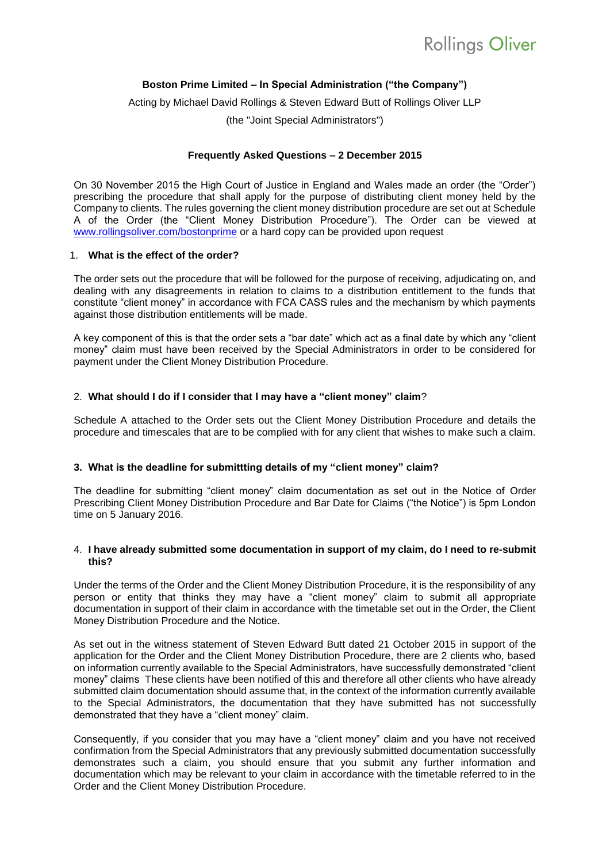# **Boston Prime Limited – In Special Administration ("the Company")**

Acting by Michael David Rollings & Steven Edward Butt of Rollings Oliver LLP

(the "Joint Special Administrators")

## **Frequently Asked Questions – 2 December 2015**

On 30 November 2015 the High Court of Justice in England and Wales made an order (the "Order") prescribing the procedure that shall apply for the purpose of distributing client money held by the Company to clients. The rules governing the client money distribution procedure are set out at Schedule A of the Order (the "Client Money Distribution Procedure"). The Order can be viewed at [www.rollingsoliver.com/bostonprime](http://www.rollingsoliver.com/bostonprime) or a hard copy can be provided upon request

### 1. **What is the effect of the order?**

The order sets out the procedure that will be followed for the purpose of receiving, adjudicating on, and dealing with any disagreements in relation to claims to a distribution entitlement to the funds that constitute "client money" in accordance with FCA CASS rules and the mechanism by which payments against those distribution entitlements will be made.

A key component of this is that the order sets a "bar date" which act as a final date by which any "client money" claim must have been received by the Special Administrators in order to be considered for payment under the Client Money Distribution Procedure.

## 2. **What should I do if I consider that I may have a "client money" claim**?

Schedule A attached to the Order sets out the Client Money Distribution Procedure and details the procedure and timescales that are to be complied with for any client that wishes to make such a claim.

### **3. What is the deadline for submittting details of my "client money" claim?**

The deadline for submitting "client money" claim documentation as set out in the Notice of Order Prescribing Client Money Distribution Procedure and Bar Date for Claims ("the Notice") is 5pm London time on 5 January 2016.

### 4. **I have already submitted some documentation in support of my claim, do I need to re-submit this?**

Under the terms of the Order and the Client Money Distribution Procedure, it is the responsibility of any person or entity that thinks they may have a "client money" claim to submit all appropriate documentation in support of their claim in accordance with the timetable set out in the Order, the Client Money Distribution Procedure and the Notice.

As set out in the witness statement of Steven Edward Butt dated 21 October 2015 in support of the application for the Order and the Client Money Distribution Procedure, there are 2 clients who, based on information currently available to the Special Administrators, have successfully demonstrated "client money" claims These clients have been notified of this and therefore all other clients who have already submitted claim documentation should assume that, in the context of the information currently available to the Special Administrators, the documentation that they have submitted has not successfully demonstrated that they have a "client money" claim.

Consequently, if you consider that you may have a "client money" claim and you have not received confirmation from the Special Administrators that any previously submitted documentation successfully demonstrates such a claim, you should ensure that you submit any further information and documentation which may be relevant to your claim in accordance with the timetable referred to in the Order and the Client Money Distribution Procedure.